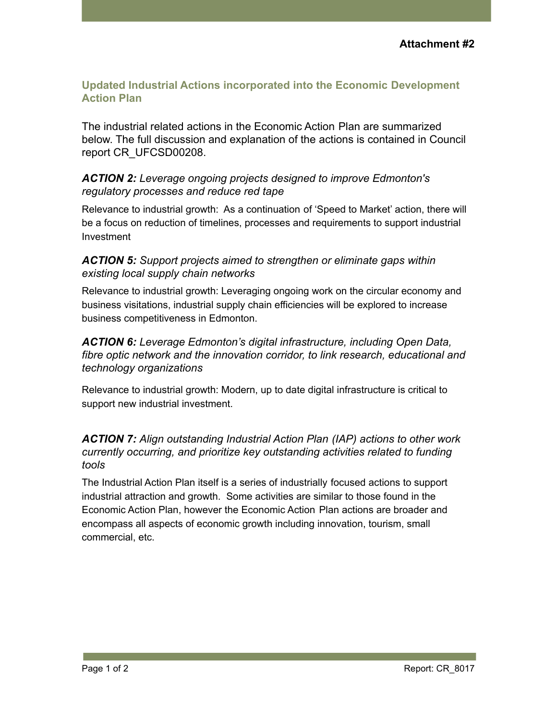### **Updated Industrial Actions incorporated into the Economic Development Action Plan**

The industrial related actions in the Economic Action Plan are summarized below. The full discussion and explanation of the actions is contained in Council report CR\_UFCSD00208.

#### *ACTION 2: Leverage ongoing projects designed to improve Edmonton's regulatory processes and reduce red tape*

Relevance to industrial growth: As a continuation of 'Speed to Market' action, there will be a focus on reduction of timelines, processes and requirements to support industrial Investment

### *ACTION 5: Support projects aimed to strengthen or eliminate gaps within existing local supply chain networks*

Relevance to industrial growth: Leveraging ongoing work on the circular economy and business visitations, industrial supply chain efficiencies will be explored to increase business competitiveness in Edmonton.

### *ACTION 6: Leverage Edmonton's digital infrastructure, including Open Data, fibre optic network and the innovation corridor, to link research, educational and technology organizations*

Relevance to industrial growth: Modern, up to date digital infrastructure is critical to support new industrial investment.

### *ACTION 7: Align outstanding Industrial Action Plan (IAP) actions to other work currently occurring, and prioritize key outstanding activities related to funding tools*

The Industrial Action Plan itself is a series of industrially focused actions to support industrial attraction and growth. Some activities are similar to those found in the Economic Action Plan, however the Economic Action Plan actions are broader and encompass all aspects of economic growth including innovation, tourism, small commercial, etc.